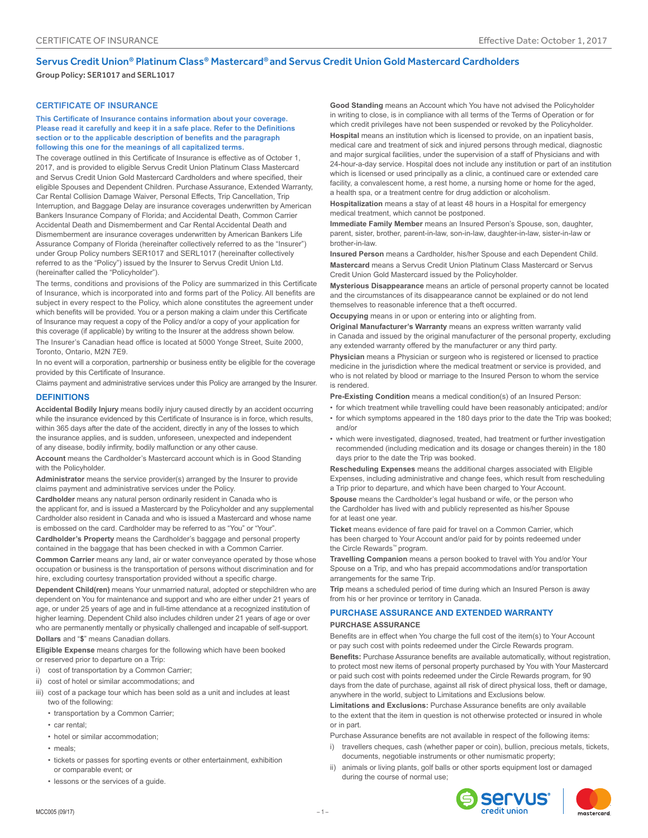## Servus Credit Union® Platinum Class® Mastercard® and Servus Credit Union Gold Mastercard Cardholders

Group Policy: SER1017 and SERL1017

## **CERTIFICATE OF INSURANCE**

**This Certificate of Insurance contains information about your coverage. Please read it carefully and keep it in a safe place. Refer to the Definitions section or to the applicable description of benefits and the paragraph following this one for the meanings of all capitalized terms.**

The coverage outlined in this Certificate of Insurance is effective as of October 1, 2017, and is provided to eligible Servus Credit Union Platinum Class Mastercard and Servus Credit Union Gold Mastercard Cardholders and where specified, their eligible Spouses and Dependent Children. Purchase Assurance, Extended Warranty, Car Rental Collision Damage Waiver, Personal Effects, Trip Cancellation, Trip Interruption, and Baggage Delay are insurance coverages underwritten by American Bankers Insurance Company of Florida; and Accidental Death, Common Carrier Accidental Death and Dismemberment and Car Rental Accidental Death and Dismemberment are insurance coverages underwritten by American Bankers Life Assurance Company of Florida (hereinafter collectively referred to as the "Insurer") under Group Policy numbers SER1017 and SERL1017 (hereinafter collectively referred to as the "Policy") issued by the Insurer to Servus Credit Union Ltd. (hereinafter called the "Policyholder").

The terms, conditions and provisions of the Policy are summarized in this Certificate of Insurance, which is incorporated into and forms part of the Policy. All benefits are subject in every respect to the Policy, which alone constitutes the agreement under which benefits will be provided. You or a person making a claim under this Certificate of Insurance may request a copy of the Policy and/or a copy of your application for this coverage (if applicable) by writing to the Insurer at the address shown below. The Insurer's Canadian head office is located at 5000 Yonge Street, Suite 2000, Toronto, Ontario, M2N 7E9.

In no event will a corporation, partnership or business entity be eligible for the coverage provided by this Certificate of Insurance.

Claims payment and administrative services under this Policy are arranged by the Insurer.

## **DEFINITIONS**

**Accidental Bodily Injury** means bodily injury caused directly by an accident occurring while the insurance evidenced by this Certificate of Insurance is in force, which results, within 365 days after the date of the accident, directly in any of the losses to which the insurance applies, and is sudden, unforeseen, unexpected and independent of any disease, bodily infirmity, bodily malfunction or any other cause.

**Account** means the Cardholder's Mastercard account which is in Good Standing with the Policyholder.

**Administrator** means the service provider(s) arranged by the Insurer to provide claims payment and administrative services under the Policy.

**Cardholder** means any natural person ordinarily resident in Canada who is the applicant for, and is issued a Mastercard by the Policyholder and any supplemental Cardholder also resident in Canada and who is issued a Mastercard and whose name is embossed on the card. Cardholder may be referred to as "You" or "Your".

**Cardholder's Property** means the Cardholder's baggage and personal property contained in the baggage that has been checked in with a Common Carrier.

**Common Carrier** means any land, air or water conveyance operated by those whose occupation or business is the transportation of persons without discrimination and for hire, excluding courtesy transportation provided without a specific charge.

**Dependent Child(ren)** means Your unmarried natural, adopted or stepchildren who are dependent on You for maintenance and support and who are either under 21 years of age, or under 25 years of age and in full-time attendance at a recognized institution of higher learning. Dependent Child also includes children under 21 years of age or over who are permanently mentally or physically challenged and incapable of self-support. **Dollars** and "**\$**" means Canadian dollars.

**Eligible Expense** means charges for the following which have been booked or reserved prior to departure on a Trip:

- i) cost of transportation by a Common Carrier;
- ii) cost of hotel or similar accommodations; and
- iii) cost of a package tour which has been sold as a unit and includes at least two of the following:
	- transportation by a Common Carrier;
	- car rental;
	- hotel or similar accommodation;
	- meals;
	- tickets or passes for sporting events or other entertainment, exhibition or comparable event; or
	- lessons or the services of a guide.

**Good Standing** means an Account which You have not advised the Policyholder in writing to close, is in compliance with all terms of the Terms of Operation or for which credit privileges have not been suspended or revoked by the Policyholder.

**Hospital** means an institution which is licensed to provide, on an inpatient basis, medical care and treatment of sick and injured persons through medical, diagnostic and major surgical facilities, under the supervision of a staff of Physicians and with 24-hour-a-day service. Hospital does not include any institution or part of an institution which is licensed or used principally as a clinic, a continued care or extended care facility, a convalescent home, a rest home, a nursing home or home for the aged, a health spa, or a treatment centre for drug addiction or alcoholism.

**Hospitalization** means a stay of at least 48 hours in a Hospital for emergency medical treatment, which cannot be postponed.

**Immediate Family Member** means an Insured Person's Spouse, son, daughter, parent, sister, brother, parent-in-law, son-in-law, daughter-in-law, sister-in-law or brother-in-law.

**Insured Person** means a Cardholder, his/her Spouse and each Dependent Child. **Mastercard** means a Servus Credit Union Platinum Class Mastercard or Servus Credit Union Gold Mastercard issued by the Policyholder.

**Mysterious Disappearance** means an article of personal property cannot be located and the circumstances of its disappearance cannot be explained or do not lend themselves to reasonable inference that a theft occurred.

**Occupying** means in or upon or entering into or alighting from.

**Original Manufacturer's Warranty** means an express written warranty valid in Canada and issued by the original manufacturer of the personal property, excluding any extended warranty offered by the manufacturer or any third party.

**Physician** means a Physician or surgeon who is registered or licensed to practice medicine in the jurisdiction where the medical treatment or service is provided, and who is not related by blood or marriage to the Insured Person to whom the service is rendered.

**Pre-Existing Condition** means a medical condition(s) of an Insured Person:

- for which treatment while travelling could have been reasonably anticipated; and/or
- for which symptoms appeared in the 180 days prior to the date the Trip was booked; and/or
- which were investigated, diagnosed, treated, had treatment or further investigation recommended (including medication and its dosage or changes therein) in the 180 days prior to the date the Trip was booked.

**Rescheduling Expenses** means the additional charges associated with Eligible Expenses, including administrative and change fees, which result from rescheduling a Trip prior to departure, and which have been charged to Your Account. **Spouse** means the Cardholder's legal husband or wife, or the person who the Cardholder has lived with and publicly represented as his/her Spouse for at least one year.

**Ticket** means evidence of fare paid for travel on a Common Carrier, which has been charged to Your Account and/or paid for by points redeemed under the Circle Rewards™ program.

**Travelling Companion** means a person booked to travel with You and/or Your Spouse on a Trip, and who has prepaid accommodations and/or transportation arrangements for the same Trip.

**Trip** means a scheduled period of time during which an Insured Person is away from his or her province or territory in Canada.

# **PURCHASE ASSURANCE AND EXTENDED WARRANTY**

#### **PURCHASE ASSURANCE**

Benefits are in effect when You charge the full cost of the item(s) to Your Account or pay such cost with points redeemed under the Circle Rewards program.

**Benefits:** Purchase Assurance benefits are available automatically, without registration, to protect most new items of personal property purchased by You with Your Mastercard or paid such cost with points redeemed under the Circle Rewards program, for 90 days from the date of purchase, against all risk of direct physical loss, theft or damage, anywhere in the world, subject to Limitations and Exclusions below.

**Limitations and Exclusions:** Purchase Assurance benefits are only available to the extent that the item in question is not otherwise protected or insured in whole or in part.

Purchase Assurance benefits are not available in respect of the following items:

- i) travellers cheques, cash (whether paper or coin), bullion, precious metals, tickets, documents, negotiable instruments or other numismatic property;
- ii) animals or living plants, golf balls or other sports equipment lost or damaged during the course of normal use;

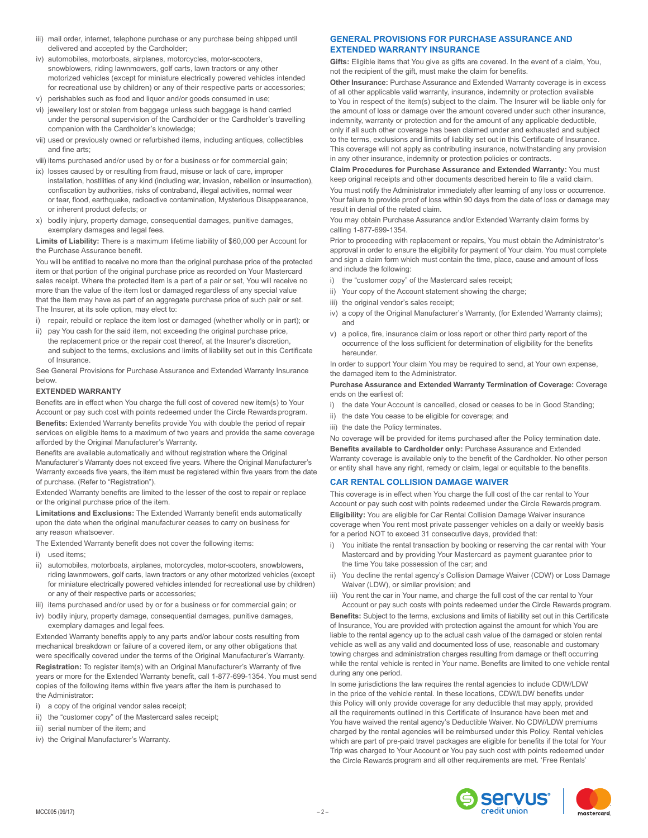- iii) mail order, internet, telephone purchase or any purchase being shipped until delivered and accepted by the Cardholder;
- iv) automobiles, motorboats, airplanes, motorcycles, motor-scooters, snowblowers, riding lawnmowers, golf carts, lawn tractors or any other motorized vehicles (except for miniature electrically powered vehicles intended for recreational use by children) or any of their respective parts or accessories;
- v) perishables such as food and liquor and/or goods consumed in use;
- vi) jewellery lost or stolen from baggage unless such baggage is hand carried under the personal supervision of the Cardholder or the Cardholder's travelling companion with the Cardholder's knowledge;
- vii) used or previously owned or refurbished items, including antiques, collectibles and fine arts;
- viii) items purchased and/or used by or for a business or for commercial gain;
- ix) losses caused by or resulting from fraud, misuse or lack of care, improper installation, hostilities of any kind (including war, invasion, rebellion or insurrection), confiscation by authorities, risks of contraband, illegal activities, normal wear or tear, flood, earthquake, radioactive contamination, Mysterious Disappearance, or inherent product defects; or
- x) bodily injury, property damage, consequential damages, punitive damages, exemplary damages and legal fees.

**Limits of Liability:** There is a maximum lifetime liability of \$60,000 per Account for the Purchase Assurance benefit.

You will be entitled to receive no more than the original purchase price of the protected item or that portion of the original purchase price as recorded on Your Mastercard sales receipt. Where the protected item is a part of a pair or set, You will receive no more than the value of the item lost or damaged regardless of any special value that the item may have as part of an aggregate purchase price of such pair or set. The Insurer, at its sole option, may elect to:

- i) repair, rebuild or replace the item lost or damaged (whether wholly or in part); or
- ii) pay You cash for the said item, not exceeding the original purchase price, the replacement price or the repair cost thereof, at the Insurer's discretion, and subject to the terms, exclusions and limits of liability set out in this Certificate of Insurance.

See General Provisions for Purchase Assurance and Extended Warranty Insurance below.

### **EXTENDED WARRANTY**

Benefits are in effect when You charge the full cost of covered new item(s) to Your Account or pay such cost with points redeemed under the Circle Rewards program. **Benefits:** Extended Warranty benefits provide You with double the period of repair services on eligible items to a maximum of two years and provide the same coverage afforded by the Original Manufacturer's Warranty.

Benefits are available automatically and without registration where the Original Manufacturer's Warranty does not exceed five years. Where the Original Manufacturer's Warranty exceeds five years, the item must be registered within five years from the date of purchase. (Refer to "Registration").

Extended Warranty benefits are limited to the lesser of the cost to repair or replace or the original purchase price of the item.

**Limitations and Exclusions:** The Extended Warranty benefit ends automatically upon the date when the original manufacturer ceases to carry on business for any reason whatsoever.

- The Extended Warranty benefit does not cover the following items:
- i) used items;
- ii) automobiles, motorboats, airplanes, motorcycles, motor-scooters, snowblowers, riding lawnmowers, golf carts, lawn tractors or any other motorized vehicles (except for miniature electrically powered vehicles intended for recreational use by children) or any of their respective parts or accessories;
- iii) items purchased and/or used by or for a business or for commercial gain; or
- iv) bodily injury, property damage, consequential damages, punitive damages, exemplary damages and legal fees.

Extended Warranty benefits apply to any parts and/or labour costs resulting from mechanical breakdown or failure of a covered item, or any other obligations that were specifically covered under the terms of the Original Manufacturer's Warranty. **Registration:** To register item(s) with an Original Manufacturer's Warranty of five years or more for the Extended Warranty benefit, call 1-877-699-1354. You must send copies of the following items within five years after the item is purchased to the Administrator:

- i) a copy of the original vendor sales receipt;
- ii) the "customer copy" of the Mastercard sales receipt;
- iii) serial number of the item; and
- iv) the Original Manufacturer's Warranty.

## **GENERAL PROVISIONS FOR PURCHASE ASSURANCE AND EXTENDED WARRANTY INSURANCE**

**Gifts:** Eligible items that You give as gifts are covered. In the event of a claim, You, not the recipient of the gift, must make the claim for benefits.

**Other Insurance:** Purchase Assurance and Extended Warranty coverage is in excess of all other applicable valid warranty, insurance, indemnity or protection available to You in respect of the item(s) subject to the claim. The Insurer will be liable only for the amount of loss or damage over the amount covered under such other insurance, indemnity, warranty or protection and for the amount of any applicable deductible, only if all such other coverage has been claimed under and exhausted and subject to the terms, exclusions and limits of liability set out in this Certificate of Insurance. This coverage will not apply as contributing insurance, notwithstanding any provision in any other insurance, indemnity or protection policies or contracts.

**Claim Procedures for Purchase Assurance and Extended Warranty:** You must keep original receipts and other documents described herein to file a valid claim. You must notify the Administrator immediately after learning of any loss or occurrence. Your failure to provide proof of loss within 90 days from the date of loss or damage may result in denial of the related claim.

You may obtain Purchase Assurance and/or Extended Warranty claim forms by calling 1-877-699-1354.

Prior to proceeding with replacement or repairs, You must obtain the Administrator's approval in order to ensure the eligibility for payment of Your claim. You must complete and sign a claim form which must contain the time, place, cause and amount of loss and include the following:

- i) the "customer copy" of the Mastercard sales receipt;
- ii) Your copy of the Account statement showing the charge;
- iii) the original vendor's sales receipt;
- iv) a copy of the Original Manufacturer's Warranty, (for Extended Warranty claims); and
- v) a police, fire, insurance claim or loss report or other third party report of the occurrence of the loss sufficient for determination of eligibility for the benefits hereunder.

In order to support Your claim You may be required to send, at Your own expense, the damaged item to the Administrator.

#### **Purchase Assurance and Extended Warranty Termination of Coverage:** Coverage ends on the earliest of:

- i) the date Your Account is cancelled, closed or ceases to be in Good Standing;
- ii) the date You cease to be eligible for coverage; and
- iii) the date the Policy terminates.

No coverage will be provided for items purchased after the Policy termination date. **Benefits available to Cardholder only:** Purchase Assurance and Extended Warranty coverage is available only to the benefit of the Cardholder. No other person or entity shall have any right, remedy or claim, legal or equitable to the benefits.

## **CAR RENTAL COLLISION DAMAGE WAIVER**

This coverage is in effect when You charge the full cost of the car rental to Your Account or pay such cost with points redeemed under the Circle Rewards program. **Eligibility:** You are eligible for Car Rental Collision Damage Waiver insurance coverage when You rent most private passenger vehicles on a daily or weekly basis for a period NOT to exceed 31 consecutive days, provided that:

- i) You initiate the rental transaction by booking or reserving the car rental with Your Mastercard and by providing Your Mastercard as payment guarantee prior to the time You take possession of the car; and
- ii) You decline the rental agency's Collision Damage Waiver (CDW) or Loss Damage Waiver (LDW), or similar provision; and
- iii) You rent the car in Your name, and charge the full cost of the car rental to Your Account or pay such costs with points redeemed under the Circle Rewards program.

**Benefits:** Subject to the terms, exclusions and limits of liability set out in this Certificate of Insurance, You are provided with protection against the amount for which You are liable to the rental agency up to the actual cash value of the damaged or stolen rental vehicle as well as any valid and documented loss of use, reasonable and customary towing charges and administration charges resulting from damage or theft occurring while the rental vehicle is rented in Your name. Benefits are limited to one vehicle rental during any one period.

In some jurisdictions the law requires the rental agencies to include CDW/LDW in the price of the vehicle rental. In these locations, CDW/LDW benefits under this Policy will only provide coverage for any deductible that may apply, provided all the requirements outlined in this Certificate of Insurance have been met and You have waived the rental agency's Deductible Waiver. No CDW/LDW premiums charged by the rental agencies will be reimbursed under this Policy. Rental vehicles which are part of pre-paid travel packages are eligible for benefits if the total for Your Trip was charged to Your Account or You pay such cost with points redeemed under the Circle Rewards program and all other requirements are met. 'Free Rentals'

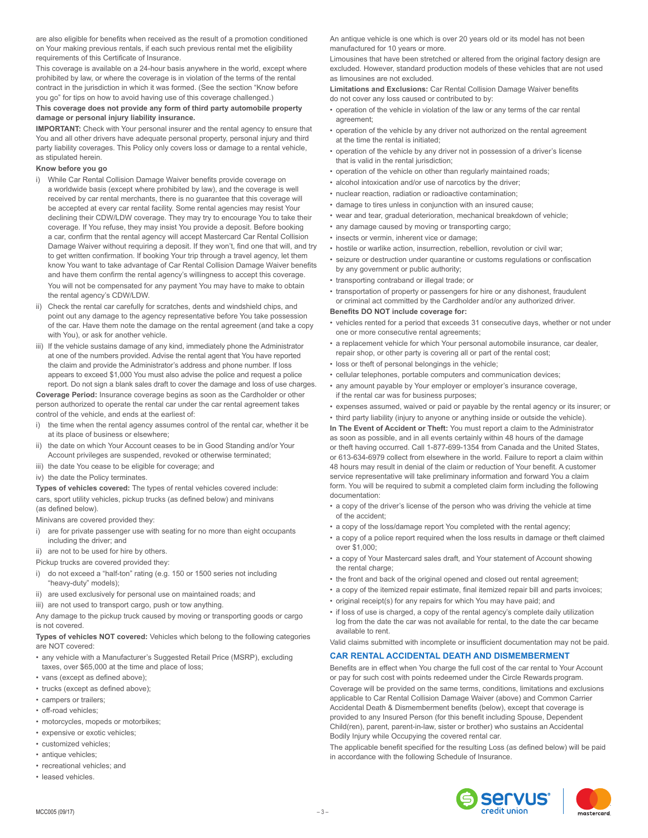are also eligible for benefits when received as the result of a promotion conditioned on Your making previous rentals, if each such previous rental met the eligibility requirements of this Certificate of Insurance.

This coverage is available on a 24-hour basis anywhere in the world, except where prohibited by law, or where the coverage is in violation of the terms of the rental contract in the jurisdiction in which it was formed. (See the section "Know before you go" for tips on how to avoid having use of this coverage challenged.)

## **This coverage does not provide any form of third party automobile property damage or personal injury liability insurance.**

**IMPORTANT:** Check with Your personal insurer and the rental agency to ensure that You and all other drivers have adequate personal property, personal injury and third party liability coverages. This Policy only covers loss or damage to a rental vehicle, as stipulated herein.

## **Know before you go**

- i) While Car Rental Collision Damage Waiver benefits provide coverage on a worldwide basis (except where prohibited by law), and the coverage is well received by car rental merchants, there is no guarantee that this coverage will be accepted at every car rental facility. Some rental agencies may resist Your declining their CDW/LDW coverage. They may try to encourage You to take their coverage. If You refuse, they may insist You provide a deposit. Before booking a car, confirm that the rental agency will accept Mastercard Car Rental Collision Damage Waiver without requiring a deposit. If they won't, find one that will, and try to get written confirmation. If booking Your trip through a travel agency, let them know You want to take advantage of Car Rental Collision Damage Waiver benefits and have them confirm the rental agency's willingness to accept this coverage. You will not be compensated for any payment You may have to make to obtain the rental agency's CDW/LDW.
- ii) Check the rental car carefully for scratches, dents and windshield chips, and point out any damage to the agency representative before You take possession of the car. Have them note the damage on the rental agreement (and take a copy with You), or ask for another vehicle.
- iii) If the vehicle sustains damage of any kind, immediately phone the Administrator at one of the numbers provided. Advise the rental agent that You have reported the claim and provide the Administrator's address and phone number. If loss appears to exceed \$1,000 You must also advise the police and request a police report. Do not sign a blank sales draft to cover the damage and loss of use charges.

**Coverage Period:** Insurance coverage begins as soon as the Cardholder or other person authorized to operate the rental car under the car rental agreement takes control of the vehicle, and ends at the earliest of:

- i) the time when the rental agency assumes control of the rental car, whether it be at its place of business or elsewhere;
- ii) the date on which Your Account ceases to be in Good Standing and/or Your Account privileges are suspended, revoked or otherwise terminated;
- iii) the date You cease to be eligible for coverage; and
- iv) the date the Policy terminates.

**Types of vehicles covered:** The types of rental vehicles covered include: cars, sport utility vehicles, pickup trucks (as defined below) and minivans (as defined below).

Minivans are covered provided they:

- i) are for private passenger use with seating for no more than eight occupants including the driver; and
- ii) are not to be used for hire by others.

Pickup trucks are covered provided they:

- i) do not exceed a "half-ton" rating (e.g. 150 or 1500 series not including "heavy-duty" models);
- ii) are used exclusively for personal use on maintained roads; and
- iii) are not used to transport cargo, push or tow anything.

Any damage to the pickup truck caused by moving or transporting goods or cargo is not covered.

## **Types of vehicles NOT covered:** Vehicles which belong to the following categories are NOT covered:

- any vehicle with a Manufacturer's Suggested Retail Price (MSRP), excluding taxes, over \$65,000 at the time and place of loss;
- vans (except as defined above);
- trucks (except as defined above);
- campers or trailers;
- off-road vehicles;
- motorcycles, mopeds or motorbikes;
- expensive or exotic vehicles;
- customized vehicles;
- antique vehicles:
- recreational vehicles; and
- leased vehicles.

An antique vehicle is one which is over 20 years old or its model has not been manufactured for 10 years or more.

Limousines that have been stretched or altered from the original factory design are excluded. However, standard production models of these vehicles that are not used as limousines are not excluded.

**Limitations and Exclusions:** Car Rental Collision Damage Waiver benefits do not cover any loss caused or contributed to by:

- operation of the vehicle in violation of the law or any terms of the car rental agreement;
- operation of the vehicle by any driver not authorized on the rental agreement at the time the rental is initiated;
- operation of the vehicle by any driver not in possession of a driver's license that is valid in the rental jurisdiction;
- operation of the vehicle on other than regularly maintained roads;
- alcohol intoxication and/or use of narcotics by the driver;
- nuclear reaction, radiation or radioactive contamination;
- damage to tires unless in conjunction with an insured cause;
- wear and tear, gradual deterioration, mechanical breakdown of vehicle;
- any damage caused by moving or transporting cargo;
- insects or vermin, inherent vice or damage;
- hostile or warlike action, insurrection, rebellion, revolution or civil war;
- seizure or destruction under quarantine or customs regulations or confiscation by any government or public authority;
- transporting contraband or illegal trade; or
- transportation of property or passengers for hire or any dishonest, fraudulent or criminal act committed by the Cardholder and/or any authorized driver.

### **Benefits DO NOT include coverage for:**

- vehicles rented for a period that exceeds 31 consecutive days, whether or not under one or more consecutive rental agreements;
- a replacement vehicle for which Your personal automobile insurance, car dealer, repair shop, or other party is covering all or part of the rental cost;
- loss or theft of personal belongings in the vehicle;
- cellular telephones, portable computers and communication devices;
- any amount payable by Your employer or employer's insurance coverage, if the rental car was for business purposes;
- expenses assumed, waived or paid or payable by the rental agency or its insurer; or
- third party liability (injury to anyone or anything inside or outside the vehicle).

**In The Event of Accident or Theft:** You must report a claim to the Administrator as soon as possible, and in all events certainly within 48 hours of the damage or theft having occurred. Call 1-877-699-1354 from Canada and the United States, or 613-634-6979 collect from elsewhere in the world. Failure to report a claim within 48 hours may result in denial of the claim or reduction of Your benefit. A customer service representative will take preliminary information and forward You a claim form. You will be required to submit a completed claim form including the following documentation:

- a copy of the driver's license of the person who was driving the vehicle at time of the accident;
- a copy of the loss/damage report You completed with the rental agency;
- a copy of a police report required when the loss results in damage or theft claimed over \$1,000;
- a copy of Your Mastercard sales draft, and Your statement of Account showing the rental charge:
- the front and back of the original opened and closed out rental agreement;
- a copy of the itemized repair estimate, final itemized repair bill and parts invoices; • original receipt(s) for any repairs for which You may have paid; and
- if loss of use is charged, a copy of the rental agency's complete daily utilization log from the date the car was not available for rental, to the date the car became available to rent.

Valid claims submitted with incomplete or insufficient documentation may not be paid.

## **CAR RENTAL ACCIDENTAL DEATH AND DISMEMBERMENT**

Benefits are in effect when You charge the full cost of the car rental to Your Account or pay for such cost with points redeemed under the Circle Rewards program. Coverage will be provided on the same terms, conditions, limitations and exclusions applicable to Car Rental Collision Damage Waiver (above) and Common Carrier Accidental Death & Dismemberment benefits (below), except that coverage is provided to any Insured Person (for this benefit including Spouse, Dependent Child(ren), parent, parent-in-law, sister or brother) who sustains an Accidental Bodily Injury while Occupying the covered rental car.

The applicable benefit specified for the resulting Loss (as defined below) will be paid in accordance with the following Schedule of Insurance.

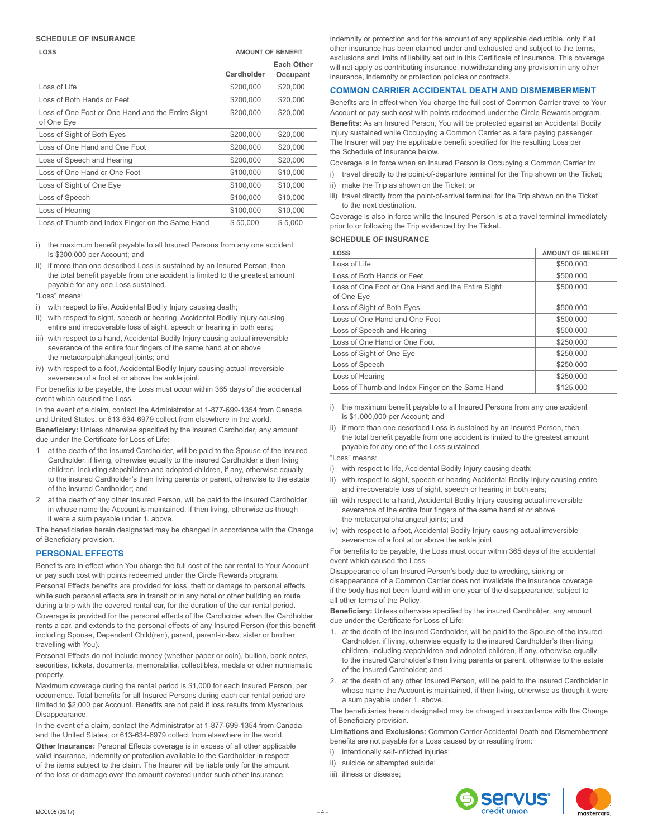#### **SCHEDULE OF INSURANCE**

| LOSS                                                            | <b>AMOUNT OF BENEFIT</b> |                        |
|-----------------------------------------------------------------|--------------------------|------------------------|
|                                                                 | Cardholder               | Each Other<br>Occupant |
| Loss of Life                                                    | \$200,000                | \$20,000               |
| Loss of Both Hands or Feet                                      | \$200,000                | \$20,000               |
| Loss of One Foot or One Hand and the Entire Sight<br>of One Eye | \$200,000                | \$20,000               |
| Loss of Sight of Both Eyes                                      | \$200,000                | \$20,000               |
| Loss of One Hand and One Foot                                   | \$200,000                | \$20,000               |
| Loss of Speech and Hearing                                      | \$200,000                | \$20,000               |
| Loss of One Hand or One Foot                                    | \$100,000                | \$10,000               |
| Loss of Sight of One Eye                                        | \$100,000                | \$10,000               |
| Loss of Speech                                                  | \$100,000                | \$10,000               |
| Loss of Hearing                                                 | \$100,000                | \$10,000               |
| Loss of Thumb and Index Finger on the Same Hand                 | \$50,000                 | \$5,000                |

- i) the maximum benefit payable to all Insured Persons from any one accident is \$300,000 per Account; and
- ii) if more than one described Loss is sustained by an Insured Person, then the total benefit payable from one accident is limited to the greatest amount payable for any one Loss sustained.

## "Loss" means:

- i) with respect to life, Accidental Bodily Injury causing death;
- ii) with respect to sight, speech or hearing, Accidental Bodily Injury causing entire and irrecoverable loss of sight, speech or hearing in both ears;
- iii) with respect to a hand, Accidental Bodily Injury causing actual irreversible severance of the entire four fingers of the same hand at or above the metacarpalphalangeal joints; and
- iv) with respect to a foot, Accidental Bodily Injury causing actual irreversible severance of a foot at or above the ankle joint.

For benefits to be payable, the Loss must occur within 365 days of the accidental event which caused the Loss.

In the event of a claim, contact the Administrator at 1-877-699-1354 from Canada and United States, or 613-634-6979 collect from elsewhere in the world.

**Beneficiary:** Unless otherwise specified by the insured Cardholder, any amount due under the Certificate for Loss of Life:

- 1. at the death of the insured Cardholder, will be paid to the Spouse of the insured Cardholder, if living, otherwise equally to the insured Cardholder's then living children, including stepchildren and adopted children, if any, otherwise equally to the insured Cardholder's then living parents or parent, otherwise to the estate of the insured Cardholder; and
- 2. at the death of any other Insured Person, will be paid to the insured Cardholder in whose name the Account is maintained, if then living, otherwise as though it were a sum payable under 1. above.

The beneficiaries herein designated may be changed in accordance with the Change of Beneficiary provision.

## **PERSONAL EFFECTS**

Benefits are in effect when You charge the full cost of the car rental to Your Account or pay such cost with points redeemed under the Circle Rewards program.

Personal Effects benefits are provided for loss, theft or damage to personal effects while such personal effects are in transit or in any hotel or other building en route during a trip with the covered rental car, for the duration of the car rental period. Coverage is provided for the personal effects of the Cardholder when the Cardholder rents a car, and extends to the personal effects of any Insured Person (for this benefit including Spouse, Dependent Child(ren), parent, parent-in-law, sister or brother travelling with You).

Personal Effects do not include money (whether paper or coin), bullion, bank notes, securities, tickets, documents, memorabilia, collectibles, medals or other numismatic property.

Maximum coverage during the rental period is \$1,000 for each Insured Person, per occurrence. Total benefits for all Insured Persons during each car rental period are limited to \$2,000 per Account. Benefits are not paid if loss results from Mysterious Disappearance.

In the event of a claim, contact the Administrator at 1-877-699-1354 from Canada and the United States, or 613-634-6979 collect from elsewhere in the world. **Other Insurance:** Personal Effects coverage is in excess of all other applicable valid insurance, indemnity or protection available to the Cardholder in respect of the items subject to the claim. The Insurer will be liable only for the amount of the loss or damage over the amount covered under such other insurance,

indemnity or protection and for the amount of any applicable deductible, only if all other insurance has been claimed under and exhausted and subject to the terms, exclusions and limits of liability set out in this Certificate of Insurance. This coverage will not apply as contributing insurance, notwithstanding any provision in any other insurance, indemnity or protection policies or contracts.

## **COMMON CARRIER ACCIDENTAL DEATH AND DISMEMBERMENT**

Benefits are in effect when You charge the full cost of Common Carrier travel to Your Account or pay such cost with points redeemed under the Circle Rewards program.

**Benefits:** As an Insured Person, You will be protected against an Accidental Bodily Injury sustained while Occupying a Common Carrier as a fare paying passenger. The Insurer will pay the applicable benefit specified for the resulting Loss per the Schedule of Insurance below.

Coverage is in force when an Insured Person is Occupying a Common Carrier to:

- i) travel directly to the point-of-departure terminal for the Trip shown on the Ticket;
- ii) make the Trip as shown on the Ticket; or
- iii) travel directly from the point-of-arrival terminal for the Trip shown on the Ticket to the next destination.

Coverage is also in force while the Insured Person is at a travel terminal immediately prior to or following the Trip evidenced by the Ticket.

### **SCHEDULE OF INSURANCE**

| LOSS                                                            | <b>AMOUNT OF BENEFIT</b> |
|-----------------------------------------------------------------|--------------------------|
| Loss of Life                                                    | \$500,000                |
| Loss of Both Hands or Feet                                      | \$500,000                |
| Loss of One Foot or One Hand and the Entire Sight<br>of One Eye | \$500.000                |
| Loss of Sight of Both Eyes                                      | \$500,000                |
| Loss of One Hand and One Foot                                   | \$500,000                |
| Loss of Speech and Hearing                                      | \$500,000                |
| Loss of One Hand or One Foot                                    | \$250,000                |
| Loss of Sight of One Eye                                        | \$250,000                |
| Loss of Speech                                                  | \$250,000                |
| Loss of Hearing                                                 | \$250,000                |
| Loss of Thumb and Index Finger on the Same Hand                 | \$125,000                |

- i) the maximum benefit payable to all Insured Persons from any one accident is \$1,000,000 per Account; and
- ii) if more than one described Loss is sustained by an Insured Person, then the total benefit payable from one accident is limited to the greatest amount payable for any one of the Loss sustained.
- "Loss" means:
- i) with respect to life, Accidental Bodily Injury causing death;
- ii) with respect to sight, speech or hearing Accidental Bodily Injury causing entire and irrecoverable loss of sight, speech or hearing in both ears;
- iii) with respect to a hand, Accidental Bodily Injury causing actual irreversible severance of the entire four fingers of the same hand at or above the metacarpalphalangeal joints; and
- iv) with respect to a foot, Accidental Bodily Injury causing actual irreversible severance of a foot at or above the ankle joint.

For benefits to be payable, the Loss must occur within 365 days of the accidental event which caused the Loss.

Disappearance of an Insured Person's body due to wrecking, sinking or disappearance of a Common Carrier does not invalidate the insurance coverage if the body has not been found within one year of the disappearance, subject to all other terms of the Policy.

**Beneficiary:** Unless otherwise specified by the insured Cardholder, any amount due under the Certificate for Loss of Life:

- at the death of the insured Cardholder, will be paid to the Spouse of the insured Cardholder, if living, otherwise equally to the insured Cardholder's then living children, including stepchildren and adopted children, if any, otherwise equally to the insured Cardholder's then living parents or parent, otherwise to the estate of the insured Cardholder; and
- 2. at the death of any other Insured Person, will be paid to the insured Cardholder in whose name the Account is maintained, if then living, otherwise as though it were a sum payable under 1. above.

The beneficiaries herein designated may be changed in accordance with the Change of Beneficiary provision.

**Limitations and Exclusions:** Common Carrier Accidental Death and Dismemberment benefits are not payable for a Loss caused by or resulting from:

- i) intentionally self-inflicted injuries;
- ii) suicide or attempted suicide;
- iii) illness or disease;

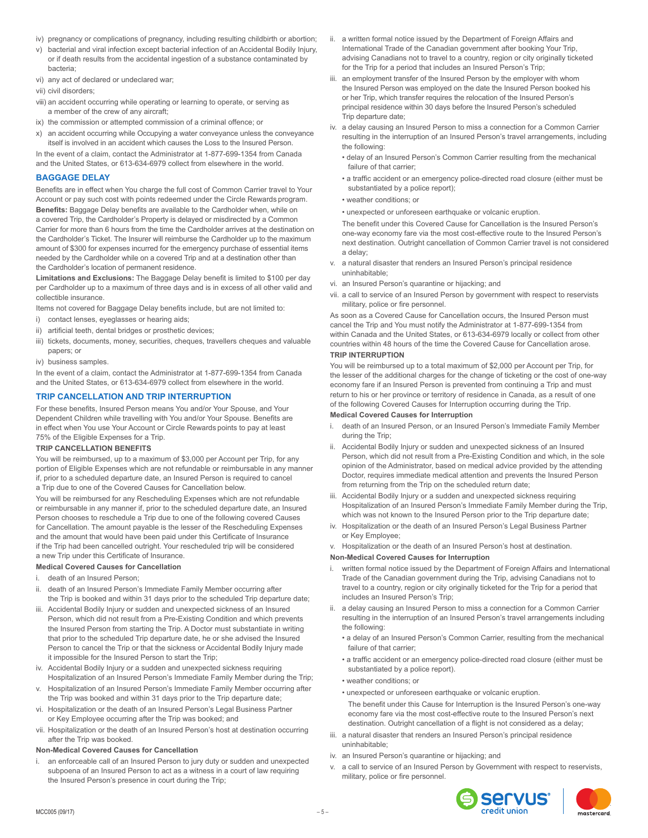- iv) pregnancy or complications of pregnancy, including resulting childbirth or abortion;
- v) bacterial and viral infection except bacterial infection of an Accidental Bodily Injury, or if death results from the accidental ingestion of a substance contaminated by bacteria;
- vi) any act of declared or undeclared war;
- vii) civil disorders;
- viii) an accident occurring while operating or learning to operate, or serving as a member of the crew of any aircraft;
- ix) the commission or attempted commission of a criminal offence; or
- x) an accident occurring while Occupying a water conveyance unless the conveyance itself is involved in an accident which causes the Loss to the Insured Person.

In the event of a claim, contact the Administrator at 1-877-699-1354 from Canada and the United States, or 613-634-6979 collect from elsewhere in the world.

## **BAGGAGE DELAY**

Benefits are in effect when You charge the full cost of Common Carrier travel to Your Account or pay such cost with points redeemed under the Circle Rewards program. **Benefits:** Baggage Delay benefits are available to the Cardholder when, while on a covered Trip, the Cardholder's Property is delayed or misdirected by a Common Carrier for more than 6 hours from the time the Cardholder arrives at the destination on the Cardholder's Ticket. The Insurer will reimburse the Cardholder up to the maximum amount of \$300 for expenses incurred for the emergency purchase of essential items needed by the Cardholder while on a covered Trip and at a destination other than the Cardholder's location of permanent residence.

**Limitations and Exclusions:** The Baggage Delay benefit is limited to \$100 per day per Cardholder up to a maximum of three days and is in excess of all other valid and collectible insurance.

Items not covered for Baggage Delay benefits include, but are not limited to:

- i) contact lenses, eyeglasses or hearing aids;
- ii) artificial teeth, dental bridges or prosthetic devices;
- iii) tickets, documents, money, securities, cheques, travellers cheques and valuable papers; or
- iv) business samples.

In the event of a claim, contact the Administrator at 1-877-699-1354 from Canada and the United States, or 613-634-6979 collect from elsewhere in the world.

## **TRIP CANCELLATION AND TRIP INTERRUPTION**

For these benefits, Insured Person means You and/or Your Spouse, and Your Dependent Children while travelling with You and/or Your Spouse. Benefits are in effect when You use Your Account or Circle Rewards points to pay at least 75% of the Eligible Expenses for a Trip.

## **TRIP CANCELLATION BENEFITS**

You will be reimbursed, up to a maximum of \$3,000 per Account per Trip, for any portion of Eligible Expenses which are not refundable or reimbursable in any manner if, prior to a scheduled departure date, an Insured Person is required to cancel a Trip due to one of the Covered Causes for Cancellation below.

You will be reimbursed for any Rescheduling Expenses which are not refundable or reimbursable in any manner if, prior to the scheduled departure date, an Insured Person chooses to reschedule a Trip due to one of the following covered Causes for Cancellation. The amount payable is the lesser of the Rescheduling Expenses and the amount that would have been paid under this Certificate of Insurance if the Trip had been cancelled outright. Your rescheduled trip will be considered a new Trip under this Certificate of Insurance.

### **Medical Covered Causes for Cancellation**

- i. death of an Insured Person;
- ii. death of an Insured Person's Immediate Family Member occurring after the Trip is booked and within 31 days prior to the scheduled Trip departure date;
- iii. Accidental Bodily Injury or sudden and unexpected sickness of an Insured Person, which did not result from a Pre-Existing Condition and which prevents the Insured Person from starting the Trip. A Doctor must substantiate in writing that prior to the scheduled Trip departure date, he or she advised the Insured Person to cancel the Trip or that the sickness or Accidental Bodily Injury made it impossible for the Insured Person to start the Trip;
- iv. Accidental Bodily Injury or a sudden and unexpected sickness requiring Hospitalization of an Insured Person's Immediate Family Member during the Trip;
- v. Hospitalization of an Insured Person's Immediate Family Member occurring after the Trip was booked and within 31 days prior to the Trip departure date;
- vi. Hospitalization or the death of an Insured Person's Legal Business Partner or Key Employee occurring after the Trip was booked; and
- vii. Hospitalization or the death of an Insured Person's host at destination occurring after the Trip was booked.

### **Non-Medical Covered Causes for Cancellation**

i. an enforceable call of an Insured Person to jury duty or sudden and unexpected subpoena of an Insured Person to act as a witness in a court of law requiring the Insured Person's presence in court during the Trip;

- ii. a written formal notice issued by the Department of Foreign Affairs and International Trade of the Canadian government after booking Your Trip, advising Canadians not to travel to a country, region or city originally ticketed for the Trip for a period that includes an Insured Person's Trip;
- iii. an employment transfer of the Insured Person by the employer with whom the Insured Person was employed on the date the Insured Person booked his or her Trip, which transfer requires the relocation of the Insured Person's principal residence within 30 days before the Insured Person's scheduled Trip departure date;
- iv. a delay causing an Insured Person to miss a connection for a Common Carrier resulting in the interruption of an Insured Person's travel arrangements, including the following:
	- delay of an Insured Person's Common Carrier resulting from the mechanical failure of that carrier;
	- a traffic accident or an emergency police-directed road closure (either must be substantiated by a police report);

### • weather conditions; or

• unexpected or unforeseen earthquake or volcanic eruption.

The benefit under this Covered Cause for Cancellation is the Insured Person's one-way economy fare via the most cost-effective route to the Insured Person's next destination. Outright cancellation of Common Carrier travel is not considered a delay;

- v. a natural disaster that renders an Insured Person's principal residence uninhabitable;
- vi. an Insured Person's quarantine or hijacking; and
- vii. a call to service of an Insured Person by government with respect to reservists military, police or fire personnel.

As soon as a Covered Cause for Cancellation occurs, the Insured Person must cancel the Trip and You must notify the Administrator at 1-877-699-1354 from within Canada and the United States, or 613-634-6979 locally or collect from other countries within 48 hours of the time the Covered Cause for Cancellation arose. **TRIP INTERRUPTION**

You will be reimbursed up to a total maximum of \$2,000 per Account per Trip, for the lesser of the additional charges for the change of ticketing or the cost of one-way economy fare if an Insured Person is prevented from continuing a Trip and must return to his or her province or territory of residence in Canada, as a result of one of the following Covered Causes for Interruption occurring during the Trip.

## **Medical Covered Causes for Interruption**

- i. death of an Insured Person, or an Insured Person's Immediate Family Member during the Trip;
- Accidental Bodily Injury or sudden and unexpected sickness of an Insured Person, which did not result from a Pre-Existing Condition and which, in the sole opinion of the Administrator, based on medical advice provided by the attending Doctor, requires immediate medical attention and prevents the Insured Person from returning from the Trip on the scheduled return date;
- iii. Accidental Bodily Injury or a sudden and unexpected sickness requiring Hospitalization of an Insured Person's Immediate Family Member during the Trip, which was not known to the Insured Person prior to the Trip departure date;
- iv. Hospitalization or the death of an Insured Person's Legal Business Partner or Key Employee;
- v. Hospitalization or the death of an Insured Person's host at destination.

### **Non-Medical Covered Causes for Interruption**

- written formal notice issued by the Department of Foreign Affairs and International Trade of the Canadian government during the Trip, advising Canadians not to travel to a country, region or city originally ticketed for the Trip for a period that includes an Insured Person's Trip;
- ii. a delay causing an Insured Person to miss a connection for a Common Carrier resulting in the interruption of an Insured Person's travel arrangements including the following:
	- a delay of an Insured Person's Common Carrier, resulting from the mechanical failure of that carrier;
	- a traffic accident or an emergency police-directed road closure (either must be substantiated by a police report).
	- weather conditions; or
	- unexpected or unforeseen earthquake or volcanic eruption.
	- The benefit under this Cause for Interruption is the Insured Person's one-way economy fare via the most cost-effective route to the Insured Person's next destination. Outright cancellation of a flight is not considered as a delay;
- iii. a natural disaster that renders an Insured Person's principal residence uninhabitable;
- iv. an Insured Person's quarantine or hijacking; and
- a call to service of an Insured Person by Government with respect to reservists, military, police or fire personnel.



mastercard